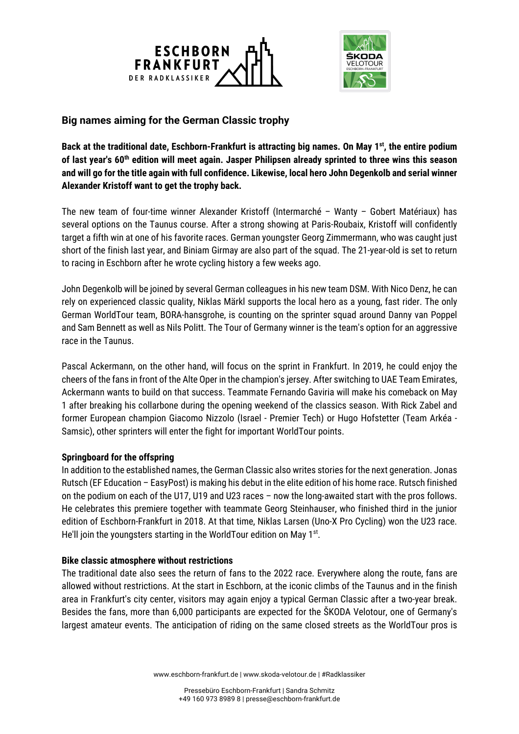



## **Big names aiming for the German Classic trophy**

Back at the traditional date, Eschborn-Frankfurt is attracting big names. On May 1<sup>st</sup>, the entire podium **of last year's 60th edition will meet again. Jasper Philipsen already sprinted to three wins this season and will go for the title again with full confidence. Likewise, local hero John Degenkolb and serial winner Alexander Kristoff want to get the trophy back.**

The new team of four-time winner Alexander Kristoff (Intermarché – Wanty – Gobert Matériaux) has several options on the Taunus course. After a strong showing at Paris-Roubaix, Kristoff will confidently target a fifth win at one of his favorite races. German youngster Georg Zimmermann, who was caught just short of the finish last year, and Biniam Girmay are also part of the squad. The 21-year-old is set to return to racing in Eschborn after he wrote cycling history a few weeks ago.

John Degenkolb will be joined by several German colleagues in his new team DSM. With Nico Denz, he can rely on experienced classic quality, Niklas Märkl supports the local hero as a young, fast rider. The only German WorldTour team, BORA-hansgrohe, is counting on the sprinter squad around Danny van Poppel and Sam Bennett as well as Nils Politt. The Tour of Germany winner is the team's option for an aggressive race in the Taunus.

Pascal Ackermann, on the other hand, will focus on the sprint in Frankfurt. In 2019, he could enjoy the cheers of the fans in front of the Alte Oper in the champion's jersey. After switching to UAE Team Emirates, Ackermann wants to build on that success. Teammate Fernando Gaviria will make his comeback on May 1 after breaking his collarbone during the opening weekend of the classics season. With Rick Zabel and former European champion Giacomo Nizzolo (Israel - Premier Tech) or Hugo Hofstetter (Team Arkéa - Samsic), other sprinters will enter the fight for important WorldTour points.

## **Springboard for the offspring**

In addition to the established names, the German Classic also writes stories for the next generation. Jonas Rutsch (EF Education – EasyPost) is making his debut in the elite edition of his home race. Rutsch finished on the podium on each of the U17, U19 and U23 races – now the long-awaited start with the pros follows. He celebrates this premiere together with teammate Georg Steinhauser, who finished third in the junior edition of Eschborn-Frankfurt in 2018. At that time, Niklas Larsen (Uno-X Pro Cycling) won the U23 race. He'll join the youngsters starting in the WorldTour edition on May 1<sup>st</sup>.

## **Bike classic atmosphere without restrictions**

The traditional date also sees the return of fans to the 2022 race. Everywhere along the route, fans are allowed without restrictions. At the start in Eschborn, at the iconic climbs of the Taunus and in the finish area in Frankfurt's city center, visitors may again enjoy a typical German Classic after a two-year break. Besides the fans, more than 6,000 participants are expected for the ŠKODA Velotour, one of Germany's largest amateur events. The anticipation of riding on the same closed streets as the WorldTour pros is